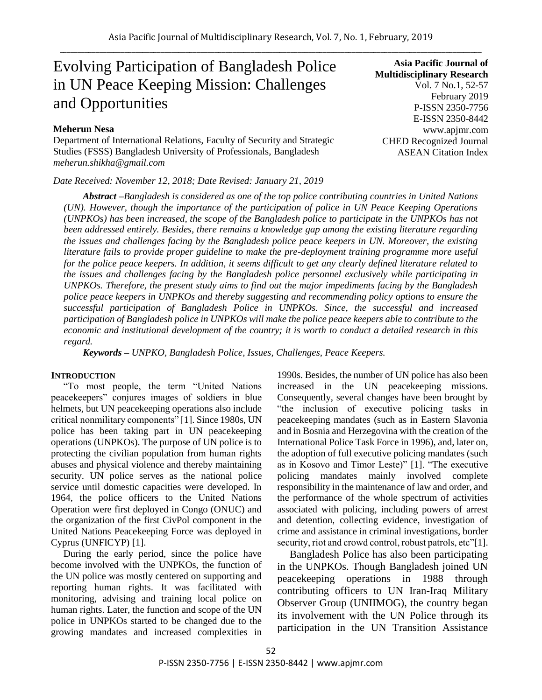# Evolving Participation of Bangladesh Police in UN Peace Keeping Mission: Challenges and Opportunities

## **Meherun Nesa**

Department of International Relations, Faculty of Security and Strategic Studies (FSSS) Bangladesh University of Professionals, Bangladesh *[meherun.shikha@gmail.com](mailto:meherun.shikha@gmail.com)*

*Date Received: November 12, 2018; Date Revised: January 21, 2019*

**Asia Pacific Journal of Multidisciplinary Research** Vol. 7 No.1, 52-57 February 2019 P-ISSN 2350-7756 E-ISSN 2350-8442 www.apjmr.com CHED Recognized Journal ASEAN Citation Index

*Abstract –Bangladesh is considered as one of the top police contributing countries in United Nations (UN). However, though the importance of the participation of police in UN Peace Keeping Operations (UNPKOs) has been increased, the scope of the Bangladesh police to participate in the UNPKOs has not been addressed entirely. Besides, there remains a knowledge gap among the existing literature regarding the issues and challenges facing by the Bangladesh police peace keepers in UN. Moreover, the existing literature fails to provide proper guideline to make the pre-deployment training programme more useful for the police peace keepers. In addition, it seems difficult to get any clearly defined literature related to the issues and challenges facing by the Bangladesh police personnel exclusively while participating in UNPKOs. Therefore, the present study aims to find out the major impediments facing by the Bangladesh police peace keepers in UNPKOs and thereby suggesting and recommending policy options to ensure the successful participation of Bangladesh Police in UNPKOs. Since, the successful and increased participation of Bangladesh police in UNPKOs will make the police peace keepers able to contribute to the economic and institutional development of the country; it is worth to conduct a detailed research in this regard.* 

*Keywords – UNPKO, Bangladesh Police, Issues, Challenges, Peace Keepers.*

#### **INTRODUCTION**

"To most people, the term "United Nations peacekeepers" conjures images of soldiers in blue helmets, but UN peacekeeping operations also include critical nonmilitary components" [1]. Since 1980s, UN police has been taking part in UN peacekeeping operations (UNPKOs). The purpose of UN police is to protecting the civilian population from human rights abuses and physical violence and thereby maintaining security. UN police serves as the national police service until domestic capacities were developed. In 1964, the police officers to the United Nations Operation were first deployed in Congo (ONUC) and the organization of the first CivPol component in the United Nations Peacekeeping Force was deployed in Cyprus (UNFICYP) [1].

During the early period, since the police have become involved with the UNPKOs, the function of the UN police was mostly centered on supporting and reporting human rights. It was facilitated with monitoring, advising and training local police on human rights. Later, the function and scope of the UN police in UNPKOs started to be changed due to the growing mandates and increased complexities in

1990s. Besides, the number of UN police has also been increased in the UN peacekeeping missions. Consequently, several changes have been brought by "the inclusion of executive policing tasks in peacekeeping mandates (such as in Eastern Slavonia and in Bosnia and Herzegovina with the creation of the International Police Task Force in 1996), and, later on, the adoption of full executive policing mandates (such as in Kosovo and Timor Leste)" [1]. "The executive policing mandates mainly involved complete responsibility in the maintenance of law and order, and the performance of the whole spectrum of activities associated with policing, including powers of arrest and detention, collecting evidence, investigation of crime and assistance in criminal investigations, border security, riot and crowd control, robust patrols, etc"[1].

Bangladesh Police has also been participating in the UNPKOs. Though Bangladesh joined UN peacekeeping operations in 1988 through contributing officers to UN Iran-Iraq Military Observer Group (UNIIMOG), the country began its involvement with the UN Police through its participation in the UN Transition Assistance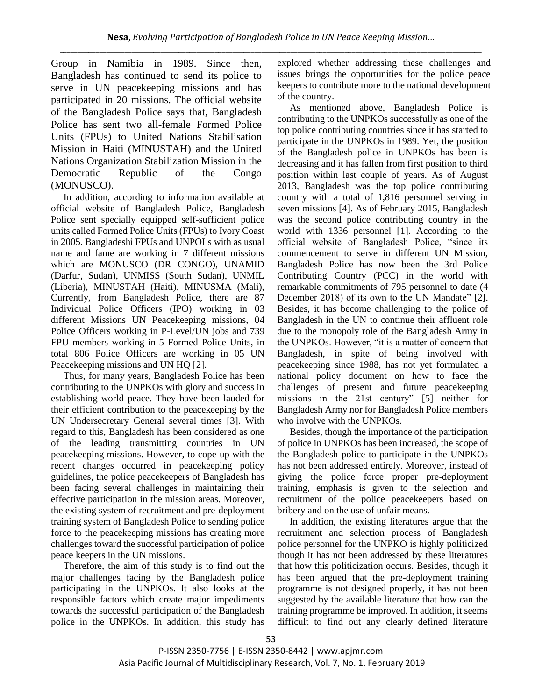Group in Namibia in 1989. Since then, Bangladesh has continued to send its police to serve in UN peacekeeping missions and has participated in 20 missions. The official website of the Bangladesh Police says that, Bangladesh Police has sent two all-female Formed Police Units (FPUs) to United Nations Stabilisation Mission in Haiti (MINUSTAH) and the United Nations Organization Stabilization Mission in the Democratic Republic of the Congo (MONUSCO).

In addition, according to information available at official website of Bangladesh Police, Bangladesh Police sent specially equipped self-sufficient police units called Formed Police Units (FPUs) to Ivory Coast in 2005. Bangladeshi FPUs and UNPOLs with as usual name and fame are working in 7 different missions which are MONUSCO (DR CONGO), UNAMID (Darfur, Sudan), UNMISS (South Sudan), UNMIL (Liberia), MINUSTAH (Haiti), MINUSMA (Mali), Currently, from Bangladesh Police, there are 87 Individual Police Officers (IPO) working in 03 different Missions UN Peacekeeping missions, 04 Police Officers working in P-Level/UN jobs and 739 FPU members working in 5 Formed Police Units, in total 806 Police Officers are working in 05 UN Peacekeeping missions and UN HQ [2].

Thus, for many years, Bangladesh Police has been contributing to the UNPKOs with glory and success in establishing world peace. They have been lauded for their efficient contribution to the peacekeeping by the UN Undersecretary General several times [3]. With regard to this, Bangladesh has been considered as one of the leading transmitting countries in UN peacekeeping missions. However, to cope-up with the recent changes occurred in peacekeeping policy guidelines, the police peacekeepers of Bangladesh has been facing several challenges in maintaining their effective participation in the mission areas. Moreover, the existing system of recruitment and pre-deployment training system of Bangladesh Police to sending police force to the peacekeeping missions has creating more challenges toward the successful participation of police peace keepers in the UN missions.

Therefore, the aim of this study is to find out the major challenges facing by the Bangladesh police participating in the UNPKOs. It also looks at the responsible factors which create major impediments towards the successful participation of the Bangladesh police in the UNPKOs. In addition, this study has explored whether addressing these challenges and issues brings the opportunities for the police peace keepers to contribute more to the national development of the country.

As mentioned above, Bangladesh Police is contributing to the UNPKOs successfully as one of the top police contributing countries since it has started to participate in the UNPKOs in 1989. Yet, the position of the Bangladesh police in UNPKOs has been is decreasing and it has fallen from first position to third position within last couple of years. As of August 2013, Bangladesh was the top police contributing country with a total of 1,816 personnel serving in seven missions [4]. As of February 2015, Bangladesh was the second police contributing country in the world with 1336 personnel [1]. According to the official website of Bangladesh Police, "since its commencement to serve in different UN Mission, Bangladesh Police has now been the 3rd Police Contributing Country (PCC) in the world with remarkable commitments of 795 personnel to date (4 December 2018) of its own to the UN Mandate" [2]. Besides, it has become challenging to the police of Bangladesh in the UN to continue their affluent role due to the monopoly role of the Bangladesh Army in the UNPKOs. However, "it is a matter of concern that Bangladesh, in spite of being involved with peacekeeping since 1988, has not yet formulated a national policy document on how to face the challenges of present and future peacekeeping missions in the 21st century" [5] neither for Bangladesh Army nor for Bangladesh Police members who involve with the UNPKOs.

Besides, though the importance of the participation of police in UNPKOs has been increased, the scope of the Bangladesh police to participate in the UNPKOs has not been addressed entirely. Moreover, instead of giving the police force proper pre-deployment training, emphasis is given to the selection and recruitment of the police peacekeepers based on bribery and on the use of unfair means.

In addition, the existing literatures argue that the recruitment and selection process of Bangladesh police personnel for the UNPKO is highly politicized though it has not been addressed by these literatures that how this politicization occurs. Besides, though it has been argued that the pre-deployment training programme is not designed properly, it has not been suggested by the available literature that how can the training programme be improved. In addition, it seems difficult to find out any clearly defined literature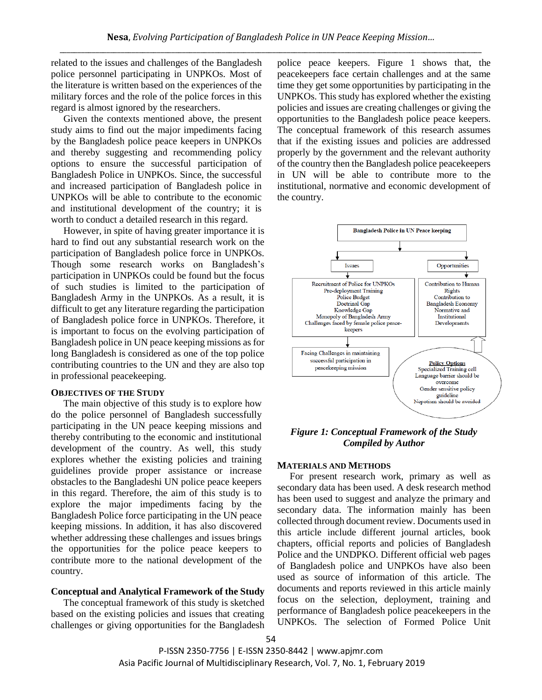related to the issues and challenges of the Bangladesh police personnel participating in UNPKOs. Most of the literature is written based on the experiences of the military forces and the role of the police forces in this regard is almost ignored by the researchers.

Given the contexts mentioned above, the present study aims to find out the major impediments facing by the Bangladesh police peace keepers in UNPKOs and thereby suggesting and recommending policy options to ensure the successful participation of Bangladesh Police in UNPKOs. Since, the successful and increased participation of Bangladesh police in UNPKOs will be able to contribute to the economic and institutional development of the country; it is worth to conduct a detailed research in this regard.

However, in spite of having greater importance it is hard to find out any substantial research work on the participation of Bangladesh police force in UNPKOs. Though some research works on Bangladesh's participation in UNPKOs could be found but the focus of such studies is limited to the participation of Bangladesh Army in the UNPKOs. As a result, it is difficult to get any literature regarding the participation of Bangladesh police force in UNPKOs. Therefore, it is important to focus on the evolving participation of Bangladesh police in UN peace keeping missions as for long Bangladesh is considered as one of the top police contributing countries to the UN and they are also top in professional peacekeeping.

#### **OBJECTIVES OF THE STUDY**

The main objective of this study is to explore how do the police personnel of Bangladesh successfully participating in the UN peace keeping missions and thereby contributing to the economic and institutional development of the country. As well, this study explores whether the existing policies and training guidelines provide proper assistance or increase obstacles to the Bangladeshi UN police peace keepers in this regard. Therefore, the aim of this study is to explore the major impediments facing by the Bangladesh Police force participating in the UN peace keeping missions. In addition, it has also discovered whether addressing these challenges and issues brings the opportunities for the police peace keepers to contribute more to the national development of the country.

#### **Conceptual and Analytical Framework of the Study**

The conceptual framework of this study is sketched based on the existing policies and issues that creating challenges or giving opportunities for the Bangladesh police peace keepers. Figure 1 shows that, the peacekeepers face certain challenges and at the same time they get some opportunities by participating in the UNPKOs. This study has explored whether the existing policies and issues are creating challenges or giving the opportunities to the Bangladesh police peace keepers. The conceptual framework of this research assumes that if the existing issues and policies are addressed properly by the government and the relevant authority of the country then the Bangladesh police peacekeepers in UN will be able to contribute more to the institutional, normative and economic development of the country.



## *Figure 1: Conceptual Framework of the Study Compiled by Author*

#### **MATERIALS AND METHODS**

For present research work, primary as well as secondary data has been used. A desk research method has been used to suggest and analyze the primary and secondary data. The information mainly has been collected through document review. Documents used in this article include different journal articles, book chapters, official reports and policies of Bangladesh Police and the UNDPKO. Different official web pages of Bangladesh police and UNPKOs have also been used as source of information of this article. The documents and reports reviewed in this article mainly focus on the selection, deployment, training and performance of Bangladesh police peacekeepers in the UNPKOs. The selection of Formed Police Unit

P-ISSN 2350-7756 | E-ISSN 2350-8442 | www.apjmr.com Asia Pacific Journal of Multidisciplinary Research, Vol. 7, No. 1, February 2019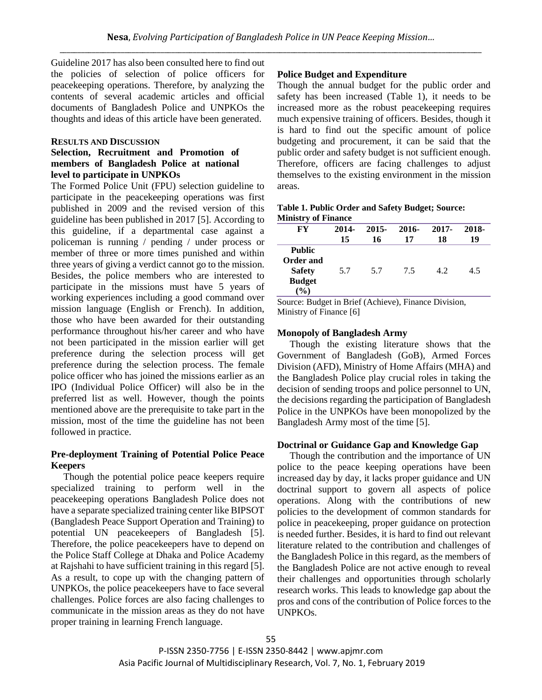Guideline 2017 has also been consulted here to find out the policies of selection of police officers for peacekeeping operations. Therefore, by analyzing the contents of several academic articles and official documents of Bangladesh Police and UNPKOs the thoughts and ideas of this article have been generated.

### **RESULTS AND DISCUSSION**

## **Selection, Recruitment and Promotion of members of Bangladesh Police at national level to participate in UNPKOs**

The Formed Police Unit (FPU) selection guideline to participate in the peacekeeping operations was first published in 2009 and the revised version of this guideline has been published in 2017 [5]. According to this guideline, if a departmental case against a policeman is running / pending / under process or member of three or more times punished and within three years of giving a verdict cannot go to the mission. Besides, the police members who are interested to participate in the missions must have 5 years of working experiences including a good command over mission language (English or French). In addition, those who have been awarded for their outstanding performance throughout his/her career and who have not been participated in the mission earlier will get preference during the selection process will get preference during the selection process. The female police officer who has joined the missions earlier as an IPO (Individual Police Officer) will also be in the preferred list as well. However, though the points mentioned above are the prerequisite to take part in the mission, most of the time the guideline has not been followed in practice.

## **Pre-deployment Training of Potential Police Peace Keepers**

Though the potential police peace keepers require specialized training to perform well in the peacekeeping operations Bangladesh Police does not have a separate specialized training center like BIPSOT (Bangladesh Peace Support Operation and Training) to potential UN peacekeepers of Bangladesh [5]. Therefore, the police peacekeepers have to depend on the Police Staff College at Dhaka and Police Academy at Rajshahi to have sufficient training in this regard [5]. As a result, to cope up with the changing pattern of UNPKOs, the police peacekeepers have to face several challenges. Police forces are also facing challenges to communicate in the mission areas as they do not have proper training in learning French language.

## **Police Budget and Expenditure**

Though the annual budget for the public order and safety has been increased (Table 1), it needs to be increased more as the robust peacekeeping requires much expensive training of officers. Besides, though it is hard to find out the specific amount of police budgeting and procurement, it can be said that the public order and safety budget is not sufficient enough. Therefore, officers are facing challenges to adjust themselves to the existing environment in the mission areas.

| Table 1. Public Order and Safety Budget; Source: |  |  |
|--------------------------------------------------|--|--|
| <b>Ministry of Finance</b>                       |  |  |

| FY             | 2014- | 2015- | 2016- | 2017- | 2018- |
|----------------|-------|-------|-------|-------|-------|
|                | 15    | 16    | 17    | 18    | 19    |
| <b>Public</b>  |       |       |       |       |       |
| Order and      |       |       |       |       |       |
| <b>Safety</b>  | 5.7   | 5.7   | 7.5   | 4.2   | 4.5   |
| <b>Budget</b>  |       |       |       |       |       |
| $\binom{0}{0}$ |       |       |       |       |       |

Source: Budget in Brief (Achieve), Finance Division, Ministry of Finance [6]

#### **Monopoly of Bangladesh Army**

Though the existing literature shows that the Government of Bangladesh (GoB), Armed Forces Division (AFD), Ministry of Home Affairs (MHA) and the Bangladesh Police play crucial roles in taking the decision of sending troops and police personnel to UN, the decisions regarding the participation of Bangladesh Police in the UNPKOs have been monopolized by the Bangladesh Army most of the time [5].

## **Doctrinal or Guidance Gap and Knowledge Gap**

Though the contribution and the importance of UN police to the peace keeping operations have been increased day by day, it lacks proper guidance and UN doctrinal support to govern all aspects of police operations. Along with the contributions of new policies to the development of common standards for police in peacekeeping, proper guidance on protection is needed further. Besides, it is hard to find out relevant literature related to the contribution and challenges of the Bangladesh Police in this regard, as the members of the Bangladesh Police are not active enough to reveal their challenges and opportunities through scholarly research works. This leads to knowledge gap about the pros and cons of the contribution of Police forces to the UNPKOs.

P-ISSN 2350-7756 | E-ISSN 2350-8442 | www.apjmr.com Asia Pacific Journal of Multidisciplinary Research, Vol. 7, No. 1, February 2019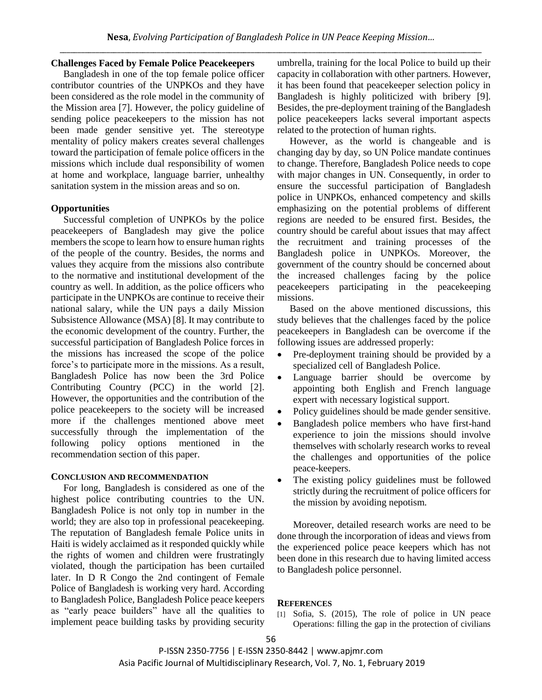## **Challenges Faced by Female Police Peacekeepers**

Bangladesh in one of the top female police officer contributor countries of the UNPKOs and they have been considered as the role model in the community of the Mission area [7]. However, the policy guideline of sending police peacekeepers to the mission has not been made gender sensitive yet. The stereotype mentality of policy makers creates several challenges toward the participation of female police officers in the missions which include dual responsibility of women at home and workplace, language barrier, unhealthy sanitation system in the mission areas and so on.

## **Opportunities**

Successful completion of UNPKOs by the police peacekeepers of Bangladesh may give the police members the scope to learn how to ensure human rights of the people of the country. Besides, the norms and values they acquire from the missions also contribute to the normative and institutional development of the country as well. In addition, as the police officers who participate in the UNPKOs are continue to receive their national salary, while the UN pays a daily Mission Subsistence Allowance (MSA) [8]. It may contribute to the economic development of the country. Further, the successful participation of Bangladesh Police forces in the missions has increased the scope of the police force's to participate more in the missions. As a result, Bangladesh Police has now been the 3rd Police Contributing Country (PCC) in the world [2]. However, the opportunities and the contribution of the police peacekeepers to the society will be increased more if the challenges mentioned above meet successfully through the implementation of the following policy options mentioned in the recommendation section of this paper.

#### **CONCLUSION AND RECOMMENDATION**

For long, Bangladesh is considered as one of the highest police contributing countries to the UN. Bangladesh Police is not only top in number in the world; they are also top in professional peacekeeping. The reputation of Bangladesh female Police units in Haiti is widely acclaimed as it responded quickly while the rights of women and children were frustratingly violated, though the participation has been curtailed later. In D R Congo the 2nd contingent of Female Police of Bangladesh is working very hard. According to Bangladesh Police, Bangladesh Police peace keepers as "early peace builders" have all the qualities to implement peace building tasks by providing security umbrella, training for the local Police to build up their capacity in collaboration with other partners. However, it has been found that peacekeeper selection policy in Bangladesh is highly politicized with bribery [9]. Besides, the pre-deployment training of the Bangladesh police peacekeepers lacks several important aspects related to the protection of human rights.

However, as the world is changeable and is changing day by day, so UN Police mandate continues to change. Therefore, Bangladesh Police needs to cope with major changes in UN. Consequently, in order to ensure the successful participation of Bangladesh police in UNPKOs, enhanced competency and skills emphasizing on the potential problems of different regions are needed to be ensured first. Besides, the country should be careful about issues that may affect the recruitment and training processes of the Bangladesh police in UNPKOs. Moreover, the government of the country should be concerned about the increased challenges facing by the police peacekeepers participating in the peacekeeping missions.

Based on the above mentioned discussions, this study believes that the challenges faced by the police peacekeepers in Bangladesh can be overcome if the following issues are addressed properly:

- Pre-deployment training should be provided by a specialized cell of Bangladesh Police.
- Language barrier should be overcome by appointing both English and French language expert with necessary logistical support.
- Policy guidelines should be made gender sensitive.
- Bangladesh police members who have first-hand experience to join the missions should involve themselves with scholarly research works to reveal the challenges and opportunities of the police peace-keepers.
- The existing policy guidelines must be followed strictly during the recruitment of police officers for the mission by avoiding nepotism.

Moreover, detailed research works are need to be done through the incorporation of ideas and views from the experienced police peace keepers which has not been done in this research due to having limited access to Bangladesh police personnel.

#### **REFERENCES**

[1] Sofia, S. (2015), The role of police in UN peace Operations: filling the gap in the protection of civilians